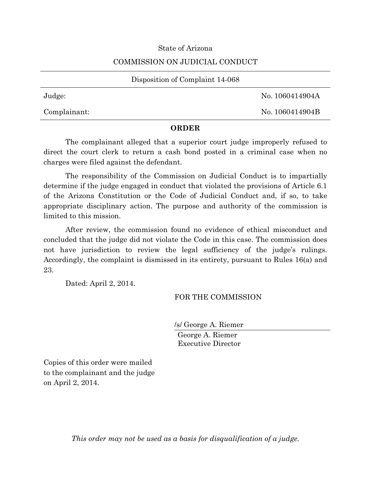### State of Arizona

### COMMISSION ON JUDICIAL CONDUCT

Disposition of Complaint 14-068

Judge: No. 1060414904A

Complainant: No. 1060414904B

## **ORDER**

The complainant alleged that a superior court judge improperly refused to direct the court clerk to return a cash bond posted in a criminal case when no charges were filed against the defendant.

The responsibility of the Commission on Judicial Conduct is to impartially determine if the judge engaged in conduct that violated the provisions of Article 6.1 of the Arizona Constitution or the Code of Judicial Conduct and, if so, to take appropriate disciplinary action. The purpose and authority of the commission is limited to this mission.

After review, the commission found no evidence of ethical misconduct and concluded that the judge did not violate the Code in this case. The commission does not have jurisdiction to review the legal sufficiency of the judge's rulings. Accordingly, the complaint is dismissed in its entirety, pursuant to Rules 16(a) and 23.

Dated: April 2, 2014.

# FOR THE COMMISSION

/s/ George A. Riemer

George A. Riemer Executive Director

Copies of this order were mailed to the complainant and the judge on April 2, 2014.

*This order may not be used as a basis for disqualification of a judge.*